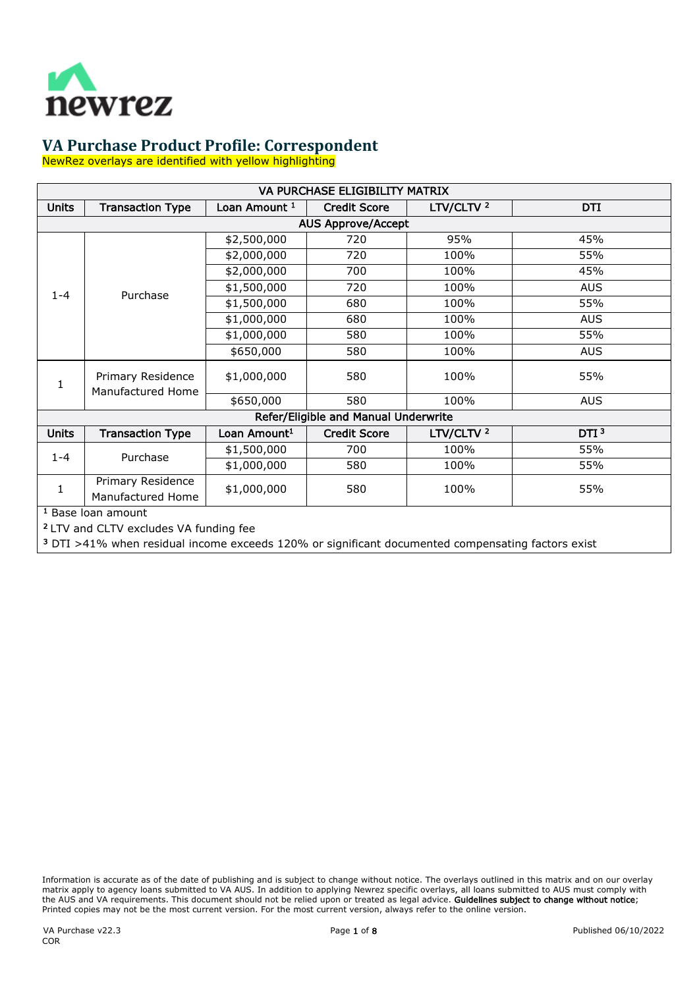

NewRez overlays are identified with yellow highlighting

| VA PURCHASE ELIGIBILITY MATRIX                    |                                        |                          |                     |                       |                  |  |  |  |
|---------------------------------------------------|----------------------------------------|--------------------------|---------------------|-----------------------|------------------|--|--|--|
| <b>Units</b>                                      | <b>Transaction Type</b>                | Loan Amount <sup>1</sup> | <b>Credit Score</b> | LTV/CLTV <sup>2</sup> | <b>DTI</b>       |  |  |  |
|                                                   | <b>AUS Approve/Accept</b>              |                          |                     |                       |                  |  |  |  |
|                                                   |                                        | \$2,500,000              | 720                 | 95%                   | 45%              |  |  |  |
|                                                   |                                        | \$2,000,000              | 720                 | 100%                  | 55%              |  |  |  |
|                                                   |                                        | \$2,000,000              | 700                 | 100%                  | 45%              |  |  |  |
| $1 - 4$                                           | Purchase                               | \$1,500,000              | 720                 | 100%                  | <b>AUS</b>       |  |  |  |
|                                                   |                                        | \$1,500,000              | 680                 | 100%                  | 55%              |  |  |  |
|                                                   |                                        | \$1,000,000              | 680                 | 100%                  | <b>AUS</b>       |  |  |  |
|                                                   |                                        | \$1,000,000              | 580                 | 100%                  | 55%              |  |  |  |
|                                                   |                                        | \$650,000                | 580                 | 100%                  | <b>AUS</b>       |  |  |  |
| 1                                                 | Primary Residence<br>Manufactured Home | \$1,000,000              | 580                 | 100%                  | 55%              |  |  |  |
|                                                   |                                        | \$650,000                | 580                 | 100%                  | <b>AUS</b>       |  |  |  |
| Refer/Eligible and Manual Underwrite              |                                        |                          |                     |                       |                  |  |  |  |
| <b>Units</b>                                      | <b>Transaction Type</b>                | Loan Amount <sup>1</sup> | <b>Credit Score</b> | LTV/CLTV <sup>2</sup> | DTI <sup>3</sup> |  |  |  |
| $1 - 4$                                           | Purchase                               | \$1,500,000              | 700                 | 100%                  | 55%              |  |  |  |
|                                                   |                                        | \$1,000,000              | 580                 | 100%                  | 55%              |  |  |  |
| $\mathbf{1}$                                      | Primary Residence<br>Manufactured Home | \$1,000,000              | 580                 | 100%                  | 55%              |  |  |  |
| <sup>1</sup> Base loan amount                     |                                        |                          |                     |                       |                  |  |  |  |
| <sup>2</sup> LTV and CLTV excludes VA funding fee |                                        |                          |                     |                       |                  |  |  |  |

<sup>3</sup> DTI >41% when residual income exceeds 120% or significant documented compensating factors exist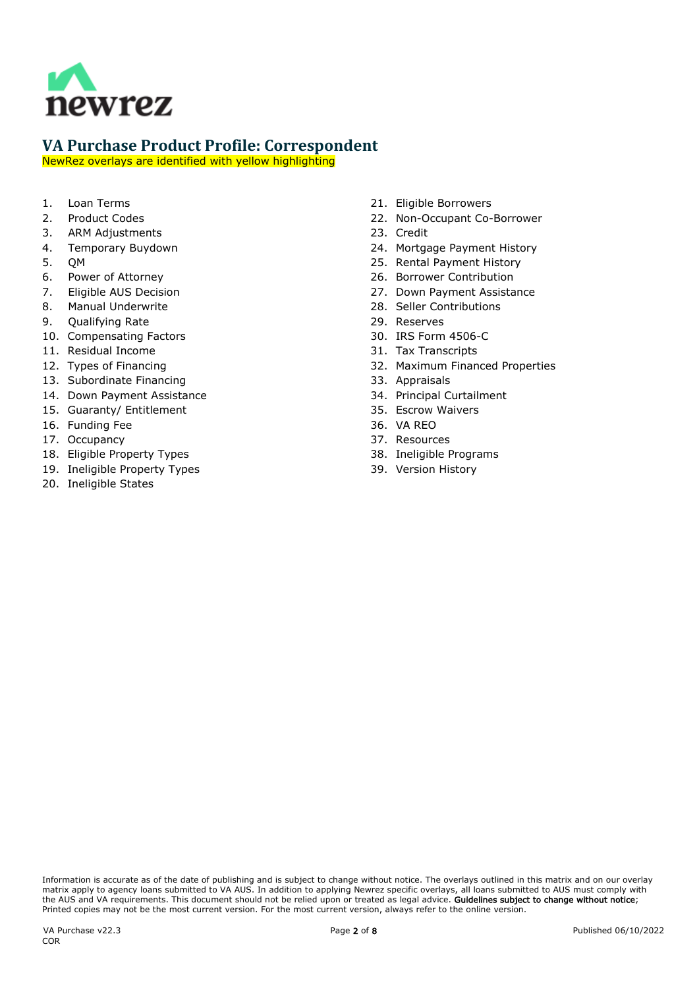

NewRez overlays are identified with yellow highlighting

- 1. [Loan Terms](#page-2-0)
- 2. [Product Codes](#page-2-1)
- 3. [ARM Adjustments](#page-2-2)
- 4. [Temporary Buydown](#page-2-3)
- 5. [QM](#page-2-4)
- 6. [Power of Attorney](#page-2-5)
- 7. [Eligible AUS Decision](#page-2-6)
- 8. [Manual Underwrite](#page-2-7)
- 9. [Qualifying Rate](#page-2-8)
- 10. [Compensating Factors](#page-2-9)
- 11. [Residual Income](#page-3-0)
- 12. [Types of Financing](#page-3-1)
- 13. [Subordinate Financing](#page-3-2)
- 14. [Down Payment Assistance](#page-3-3)
- 15. [Guaranty/ Entitlement](#page-3-4)
- 16. [Funding Fee](#page-3-5)
- 17. [Occupancy](#page-4-0)
- 18. [Eligible Property Types](#page-4-1)
- 19. [Ineligible Property Types](#page-4-2)
- 20. [Ineligible States](#page-4-3)
- 21. [Eligible Borrowers](#page-4-4)
- 22. [Non-Occupant Co-Borrower](#page-4-5)
- 23. [Credit](#page-4-6)
- 24. [Mortgage Payment History](#page-5-0)
- 25. [Rental Payment History](#page-5-1)
- 26. [Borrower Contribution](#page-5-2)
- 27. [Down Payment Assistance](#page-5-3)
- 28. [Seller Contributions](#page-5-4)
- 29. [Reserves](#page-5-5)
- 30. [IRS Form 4506-C](#page-5-6)
- 31. [Tax Transcripts](#page-5-7)
- 32. [Maximum Financed Properties](#page-6-0)
- 33. [Appraisals](#page-6-1)
- 34. [Principal Curtailment](#page-6-2)
- 35. [Escrow Waivers](#page-6-3)
- 36. [VA REO](#page-6-4)
- 37. [Resources](#page-6-5)
- 38. [Ineligible Programs](#page-6-6)
- 39. [Version History](#page-7-0)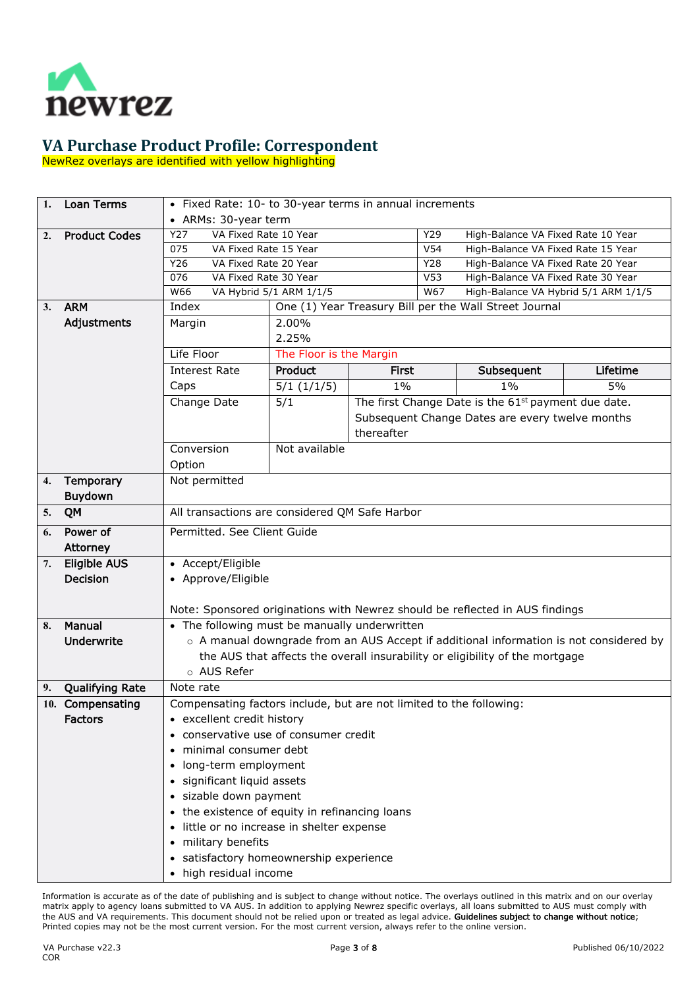

NewRez overlays are identified with yellow highlighting

<span id="page-2-9"></span><span id="page-2-8"></span><span id="page-2-7"></span><span id="page-2-6"></span><span id="page-2-5"></span><span id="page-2-4"></span><span id="page-2-3"></span><span id="page-2-2"></span><span id="page-2-1"></span><span id="page-2-0"></span>

| 1. | <b>Loan Terms</b>      | • Fixed Rate: 10- to 30-year terms in annual increments                                |                                                   |            |                 |                                                                              |    |
|----|------------------------|----------------------------------------------------------------------------------------|---------------------------------------------------|------------|-----------------|------------------------------------------------------------------------------|----|
|    |                        | • ARMs: 30-year term                                                                   |                                                   |            |                 |                                                                              |    |
| 2. | <b>Product Codes</b>   | VA Fixed Rate 10 Year<br>$Y2\overline{7}$                                              |                                                   |            | Y29             | High-Balance VA Fixed Rate 10 Year                                           |    |
|    |                        | 075<br>VA Fixed Rate 15 Year                                                           |                                                   |            | V <sub>54</sub> | High-Balance VA Fixed Rate 15 Year                                           |    |
|    |                        | VA Fixed Rate 20 Year<br>Y26                                                           |                                                   |            | Y28             | High-Balance VA Fixed Rate 20 Year                                           |    |
|    |                        | 076<br>VA Fixed Rate 30 Year                                                           |                                                   |            | V <sub>53</sub> | High-Balance VA Fixed Rate 30 Year                                           |    |
|    |                        | W66                                                                                    | VA Hybrid 5/1 ARM 1/1/5                           |            | W67             | High-Balance VA Hybrid 5/1 ARM 1/1/5                                         |    |
| 3. | <b>ARM</b>             | Index                                                                                  |                                                   |            |                 | One (1) Year Treasury Bill per the Wall Street Journal                       |    |
|    | Adjustments            | Margin                                                                                 | 2.00%                                             |            |                 |                                                                              |    |
|    |                        |                                                                                        | 2.25%                                             |            |                 |                                                                              |    |
|    |                        | Life Floor                                                                             | The Floor is the Margin                           |            |                 |                                                                              |    |
|    |                        | <b>Interest Rate</b>                                                                   | Product<br>Lifetime<br><b>First</b><br>Subsequent |            |                 |                                                                              |    |
|    |                        | Caps                                                                                   | 5/1(1/1/5)                                        | $1\%$      |                 | $1\%$                                                                        | 5% |
|    |                        | Change Date                                                                            | 5/1                                               |            |                 | The first Change Date is the 61 <sup>st</sup> payment due date.              |    |
|    |                        |                                                                                        |                                                   |            |                 | Subsequent Change Dates are every twelve months                              |    |
|    |                        |                                                                                        |                                                   | thereafter |                 |                                                                              |    |
|    |                        | Conversion                                                                             | Not available                                     |            |                 |                                                                              |    |
|    |                        | Option                                                                                 |                                                   |            |                 |                                                                              |    |
| 4. | Temporary              | Not permitted                                                                          |                                                   |            |                 |                                                                              |    |
|    | <b>Buydown</b>         |                                                                                        |                                                   |            |                 |                                                                              |    |
| 5. | <b>QM</b>              | All transactions are considered QM Safe Harbor                                         |                                                   |            |                 |                                                                              |    |
| 6. | Power of               | Permitted. See Client Guide                                                            |                                                   |            |                 |                                                                              |    |
|    | Attorney               |                                                                                        |                                                   |            |                 |                                                                              |    |
| 7. | <b>Eligible AUS</b>    | • Accept/Eligible                                                                      |                                                   |            |                 |                                                                              |    |
|    | <b>Decision</b>        | • Approve/Eligible                                                                     |                                                   |            |                 |                                                                              |    |
|    |                        |                                                                                        |                                                   |            |                 |                                                                              |    |
|    |                        |                                                                                        |                                                   |            |                 | Note: Sponsored originations with Newrez should be reflected in AUS findings |    |
| 8. | Manual                 | • The following must be manually underwritten                                          |                                                   |            |                 |                                                                              |    |
|    | <b>Underwrite</b>      | o A manual downgrade from an AUS Accept if additional information is not considered by |                                                   |            |                 |                                                                              |    |
|    |                        |                                                                                        |                                                   |            |                 | the AUS that affects the overall insurability or eligibility of the mortgage |    |
|    |                        | o AUS Refer                                                                            |                                                   |            |                 |                                                                              |    |
| 9. | <b>Qualifying Rate</b> | Note rate                                                                              |                                                   |            |                 |                                                                              |    |
|    | 10. Compensating       | Compensating factors include, but are not limited to the following:                    |                                                   |            |                 |                                                                              |    |
|    | <b>Factors</b>         | • excellent credit history                                                             |                                                   |            |                 |                                                                              |    |
|    |                        | • conservative use of consumer credit                                                  |                                                   |            |                 |                                                                              |    |
|    |                        | • minimal consumer debt                                                                |                                                   |            |                 |                                                                              |    |
|    |                        | • long-term employment                                                                 |                                                   |            |                 |                                                                              |    |
|    |                        | · significant liquid assets                                                            |                                                   |            |                 |                                                                              |    |
|    |                        | · sizable down payment                                                                 |                                                   |            |                 |                                                                              |    |
|    |                        | • the existence of equity in refinancing loans                                         |                                                   |            |                 |                                                                              |    |
|    |                        | • little or no increase in shelter expense                                             |                                                   |            |                 |                                                                              |    |
|    |                        | • military benefits                                                                    |                                                   |            |                 |                                                                              |    |
|    |                        | • satisfactory homeownership experience                                                |                                                   |            |                 |                                                                              |    |
|    |                        | • high residual income                                                                 |                                                   |            |                 |                                                                              |    |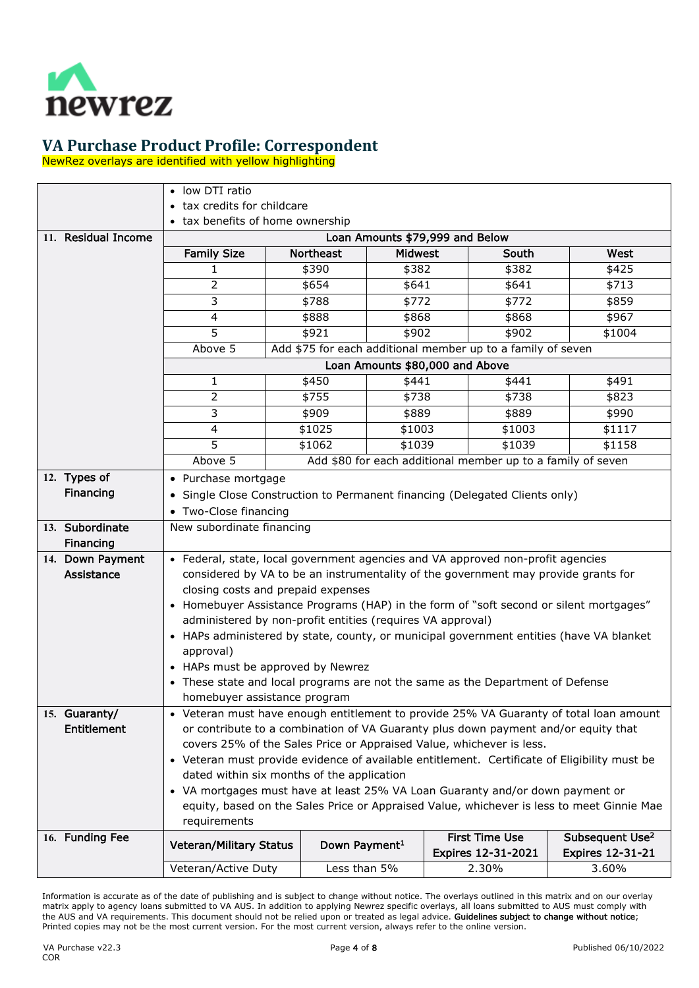

NewRez overlays are identified with yellow highlighting

<span id="page-3-5"></span><span id="page-3-4"></span><span id="page-3-3"></span><span id="page-3-2"></span><span id="page-3-1"></span><span id="page-3-0"></span>

|                     | • low DTI ratio                                                                                                                                                       |                                 |                                                             |                             |  |
|---------------------|-----------------------------------------------------------------------------------------------------------------------------------------------------------------------|---------------------------------|-------------------------------------------------------------|-----------------------------|--|
|                     | • tax credits for childcare                                                                                                                                           |                                 |                                                             |                             |  |
|                     | • tax benefits of home ownership                                                                                                                                      |                                 |                                                             |                             |  |
| 11. Residual Income | Loan Amounts \$79,999 and Below                                                                                                                                       |                                 |                                                             |                             |  |
|                     | <b>Family Size</b>                                                                                                                                                    | <b>Northeast</b>                | <b>Midwest</b><br>South                                     | West                        |  |
|                     | 1                                                                                                                                                                     | \$390                           | \$382<br>\$382                                              | \$425                       |  |
|                     | $\overline{2}$                                                                                                                                                        | \$654<br>\$641                  | \$641                                                       | \$713                       |  |
|                     | 3                                                                                                                                                                     | \$788                           | \$772<br>\$772                                              | \$859                       |  |
|                     | $\overline{4}$                                                                                                                                                        | \$888                           | \$868<br>\$868                                              | \$967                       |  |
|                     | $\overline{5}$                                                                                                                                                        | \$921                           | \$902<br>\$902                                              | \$1004                      |  |
|                     | Above 5                                                                                                                                                               |                                 | Add \$75 for each additional member up to a family of seven |                             |  |
|                     |                                                                                                                                                                       | Loan Amounts \$80,000 and Above |                                                             |                             |  |
|                     | 1                                                                                                                                                                     | \$450                           | \$441<br>\$441                                              | \$491                       |  |
|                     | $\overline{2}$                                                                                                                                                        | \$755                           | \$738<br>\$738                                              | \$823                       |  |
|                     | $\overline{\mathbf{3}}$                                                                                                                                               | \$909                           | \$889<br>\$889                                              | \$990                       |  |
|                     | $\overline{4}$                                                                                                                                                        | \$1025<br>\$1003                | \$1003                                                      | \$1117                      |  |
|                     | 5                                                                                                                                                                     | \$1062<br>\$1039                | \$1039                                                      | \$1158                      |  |
|                     | Above 5                                                                                                                                                               |                                 | Add \$80 for each additional member up to a family of seven |                             |  |
| 12. Types of        | • Purchase mortgage                                                                                                                                                   |                                 |                                                             |                             |  |
| Financing           | • Single Close Construction to Permanent financing (Delegated Clients only)                                                                                           |                                 |                                                             |                             |  |
|                     | • Two-Close financing                                                                                                                                                 |                                 |                                                             |                             |  |
| 13. Subordinate     | New subordinate financing                                                                                                                                             |                                 |                                                             |                             |  |
| Financing           |                                                                                                                                                                       |                                 |                                                             |                             |  |
| 14. Down Payment    |                                                                                                                                                                       |                                 |                                                             |                             |  |
| Assistance          | • Federal, state, local government agencies and VA approved non-profit agencies<br>considered by VA to be an instrumentality of the government may provide grants for |                                 |                                                             |                             |  |
|                     | closing costs and prepaid expenses                                                                                                                                    |                                 |                                                             |                             |  |
|                     | • Homebuyer Assistance Programs (HAP) in the form of "soft second or silent mortgages"                                                                                |                                 |                                                             |                             |  |
|                     | administered by non-profit entities (requires VA approval)                                                                                                            |                                 |                                                             |                             |  |
|                     | • HAPs administered by state, county, or municipal government entities (have VA blanket                                                                               |                                 |                                                             |                             |  |
|                     | approval)                                                                                                                                                             |                                 |                                                             |                             |  |
|                     | • HAPs must be approved by Newrez                                                                                                                                     |                                 |                                                             |                             |  |
|                     | • These state and local programs are not the same as the Department of Defense                                                                                        |                                 |                                                             |                             |  |
|                     | homebuyer assistance program                                                                                                                                          |                                 |                                                             |                             |  |
| 15. Guaranty/       | • Veteran must have enough entitlement to provide 25% VA Guaranty of total loan amount                                                                                |                                 |                                                             |                             |  |
| <b>Entitlement</b>  | or contribute to a combination of VA Guaranty plus down payment and/or equity that                                                                                    |                                 |                                                             |                             |  |
|                     | covers 25% of the Sales Price or Appraised Value, whichever is less.                                                                                                  |                                 |                                                             |                             |  |
|                     | • Veteran must provide evidence of available entitlement. Certificate of Eligibility must be                                                                          |                                 |                                                             |                             |  |
|                     | dated within six months of the application                                                                                                                            |                                 |                                                             |                             |  |
|                     | • VA mortgages must have at least 25% VA Loan Guaranty and/or down payment or                                                                                         |                                 |                                                             |                             |  |
|                     | equity, based on the Sales Price or Appraised Value, whichever is less to meet Ginnie Mae                                                                             |                                 |                                                             |                             |  |
|                     | requirements                                                                                                                                                          |                                 |                                                             |                             |  |
| 16. Funding Fee     | <b>Veteran/Military Status</b>                                                                                                                                        | Down Payment <sup>1</sup>       | <b>First Time Use</b>                                       | Subsequent Use <sup>2</sup> |  |
|                     |                                                                                                                                                                       |                                 | Expires 12-31-2021                                          | <b>Expires 12-31-21</b>     |  |
|                     | Veteran/Active Duty                                                                                                                                                   | Less than 5%                    | 2.30%                                                       | 3.60%                       |  |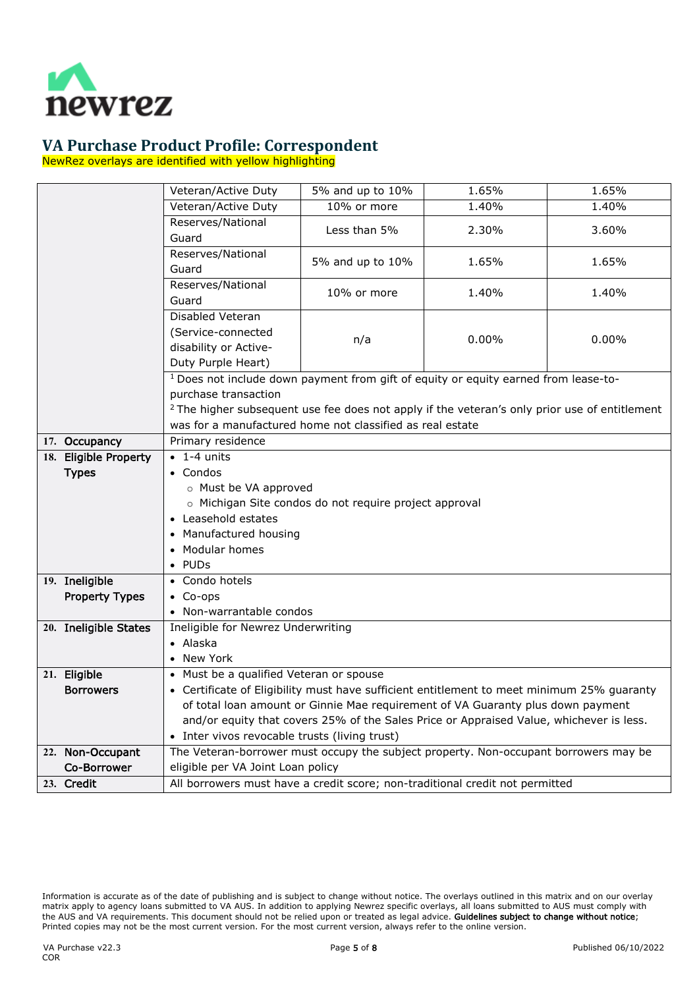

NewRez overlays are identified with yellow highlighting

<span id="page-4-6"></span><span id="page-4-5"></span><span id="page-4-4"></span><span id="page-4-3"></span><span id="page-4-2"></span><span id="page-4-1"></span><span id="page-4-0"></span>

| Veteran/Active Duty                                         | 5% and up to 10%                                                                                         | 1.65% | 1.65% |  |  |
|-------------------------------------------------------------|----------------------------------------------------------------------------------------------------------|-------|-------|--|--|
| Veteran/Active Duty                                         | $10\%$ or more                                                                                           | 1.40% | 1.40% |  |  |
| Reserves/National                                           | Less than 5%                                                                                             | 2.30% | 3.60% |  |  |
| Guard                                                       |                                                                                                          |       |       |  |  |
| Reserves/National                                           | 5% and up to 10%                                                                                         | 1.65% | 1.65% |  |  |
| Guard                                                       |                                                                                                          |       |       |  |  |
| Reserves/National                                           | 10% or more                                                                                              | 1.40% | 1.40% |  |  |
| Guard                                                       |                                                                                                          |       |       |  |  |
| Disabled Veteran                                            |                                                                                                          |       |       |  |  |
| (Service-connected                                          | n/a                                                                                                      | 0.00% | 0.00% |  |  |
| disability or Active-                                       |                                                                                                          |       |       |  |  |
| Duty Purple Heart)                                          |                                                                                                          |       |       |  |  |
|                                                             | <sup>1</sup> Does not include down payment from gift of equity or equity earned from lease-to-           |       |       |  |  |
| purchase transaction                                        |                                                                                                          |       |       |  |  |
|                                                             | <sup>2</sup> The higher subsequent use fee does not apply if the veteran's only prior use of entitlement |       |       |  |  |
|                                                             | was for a manufactured home not classified as real estate                                                |       |       |  |  |
| 17. Occupancy<br>18. Eligible Property                      | Primary residence                                                                                        |       |       |  |  |
|                                                             | $\overline{\bullet}$ 1-4 units                                                                           |       |       |  |  |
| <b>Types</b>                                                | • Condos                                                                                                 |       |       |  |  |
|                                                             | o Must be VA approved                                                                                    |       |       |  |  |
|                                                             | o Michigan Site condos do not require project approval<br>• Leasehold estates                            |       |       |  |  |
|                                                             | • Manufactured housing                                                                                   |       |       |  |  |
|                                                             | • Modular homes                                                                                          |       |       |  |  |
| • PUDs                                                      |                                                                                                          |       |       |  |  |
| 19. Ineligible<br>• Condo hotels                            |                                                                                                          |       |       |  |  |
| <b>Property Types</b><br>$\bullet$ Co-ops                   |                                                                                                          |       |       |  |  |
|                                                             | • Non-warrantable condos                                                                                 |       |       |  |  |
| Ineligible for Newrez Underwriting<br>20. Ineligible States |                                                                                                          |       |       |  |  |
| • Alaska                                                    |                                                                                                          |       |       |  |  |
| • New York                                                  |                                                                                                          |       |       |  |  |
| 21. Eligible                                                | • Must be a qualified Veteran or spouse                                                                  |       |       |  |  |
| <b>Borrowers</b>                                            | • Certificate of Eligibility must have sufficient entitlement to meet minimum 25% guaranty               |       |       |  |  |
|                                                             | of total loan amount or Ginnie Mae requirement of VA Guaranty plus down payment                          |       |       |  |  |
|                                                             | and/or equity that covers 25% of the Sales Price or Appraised Value, whichever is less.                  |       |       |  |  |
|                                                             | • Inter vivos revocable trusts (living trust)                                                            |       |       |  |  |
| 22. Non-Occupant                                            | The Veteran-borrower must occupy the subject property. Non-occupant borrowers may be                     |       |       |  |  |
| <b>Co-Borrower</b>                                          | eligible per VA Joint Loan policy                                                                        |       |       |  |  |
| 23. Credit                                                  | All borrowers must have a credit score; non-traditional credit not permitted                             |       |       |  |  |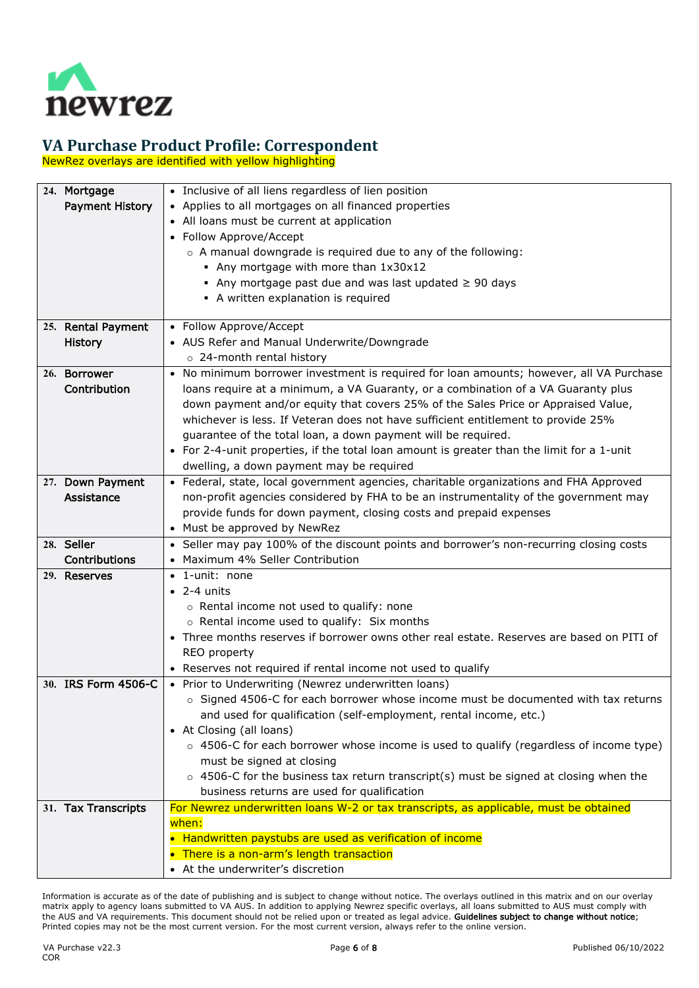

NewRez overlays are identified with yellow highlighting

<span id="page-5-7"></span><span id="page-5-6"></span><span id="page-5-5"></span><span id="page-5-4"></span><span id="page-5-3"></span><span id="page-5-2"></span><span id="page-5-1"></span><span id="page-5-0"></span>

| 24. Mortgage           | • Inclusive of all liens regardless of lien position                                         |  |  |  |
|------------------------|----------------------------------------------------------------------------------------------|--|--|--|
| <b>Payment History</b> | • Applies to all mortgages on all financed properties                                        |  |  |  |
|                        | • All loans must be current at application                                                   |  |  |  |
|                        | • Follow Approve/Accept                                                                      |  |  |  |
|                        | $\circ$ A manual downgrade is required due to any of the following:                          |  |  |  |
|                        | • Any mortgage with more than 1x30x12                                                        |  |  |  |
|                        | Any mortgage past due and was last updated $\geq 90$ days                                    |  |  |  |
|                        | • A written explanation is required                                                          |  |  |  |
|                        |                                                                                              |  |  |  |
| 25. Rental Payment     | • Follow Approve/Accept                                                                      |  |  |  |
| History                | • AUS Refer and Manual Underwrite/Downgrade                                                  |  |  |  |
|                        | o 24-month rental history                                                                    |  |  |  |
| 26. Borrower           | • No minimum borrower investment is required for loan amounts; however, all VA Purchase      |  |  |  |
| Contribution           | loans require at a minimum, a VA Guaranty, or a combination of a VA Guaranty plus            |  |  |  |
|                        | down payment and/or equity that covers 25% of the Sales Price or Appraised Value,            |  |  |  |
|                        | whichever is less. If Veteran does not have sufficient entitlement to provide 25%            |  |  |  |
|                        | guarantee of the total loan, a down payment will be required.                                |  |  |  |
|                        | • For 2-4-unit properties, if the total loan amount is greater than the limit for a 1-unit   |  |  |  |
|                        | dwelling, a down payment may be required                                                     |  |  |  |
| 27. Down Payment       | • Federal, state, local government agencies, charitable organizations and FHA Approved       |  |  |  |
| Assistance             | non-profit agencies considered by FHA to be an instrumentality of the government may         |  |  |  |
|                        | provide funds for down payment, closing costs and prepaid expenses                           |  |  |  |
|                        | • Must be approved by NewRez                                                                 |  |  |  |
| 28. Seller             | • Seller may pay 100% of the discount points and borrower's non-recurring closing costs      |  |  |  |
| <b>Contributions</b>   | • Maximum 4% Seller Contribution                                                             |  |  |  |
| 29. Reserves           | • 1-unit: none                                                                               |  |  |  |
|                        | $\bullet$ 2-4 units                                                                          |  |  |  |
|                        | o Rental income not used to qualify: none                                                    |  |  |  |
|                        | o Rental income used to qualify: Six months                                                  |  |  |  |
|                        | • Three months reserves if borrower owns other real estate. Reserves are based on PITI of    |  |  |  |
|                        | REO property                                                                                 |  |  |  |
|                        | • Reserves not required if rental income not used to qualify                                 |  |  |  |
| 30. IRS Form 4506-C    | • Prior to Underwriting (Newrez underwritten loans)                                          |  |  |  |
|                        | $\circ$ Signed 4506-C for each borrower whose income must be documented with tax returns     |  |  |  |
|                        | and used for qualification (self-employment, rental income, etc.)                            |  |  |  |
|                        | • At Closing (all loans)                                                                     |  |  |  |
|                        | $\circ$ 4506-C for each borrower whose income is used to qualify (regardless of income type) |  |  |  |
|                        | must be signed at closing                                                                    |  |  |  |
|                        | $\circ$ 4506-C for the business tax return transcript(s) must be signed at closing when the  |  |  |  |
|                        | business returns are used for qualification                                                  |  |  |  |
| 31. Tax Transcripts    | For Newrez underwritten loans W-2 or tax transcripts, as applicable, must be obtained        |  |  |  |
|                        | when:                                                                                        |  |  |  |
|                        | • Handwritten paystubs are used as verification of income                                    |  |  |  |
|                        | • There is a non-arm's length transaction                                                    |  |  |  |
|                        | • At the underwriter's discretion                                                            |  |  |  |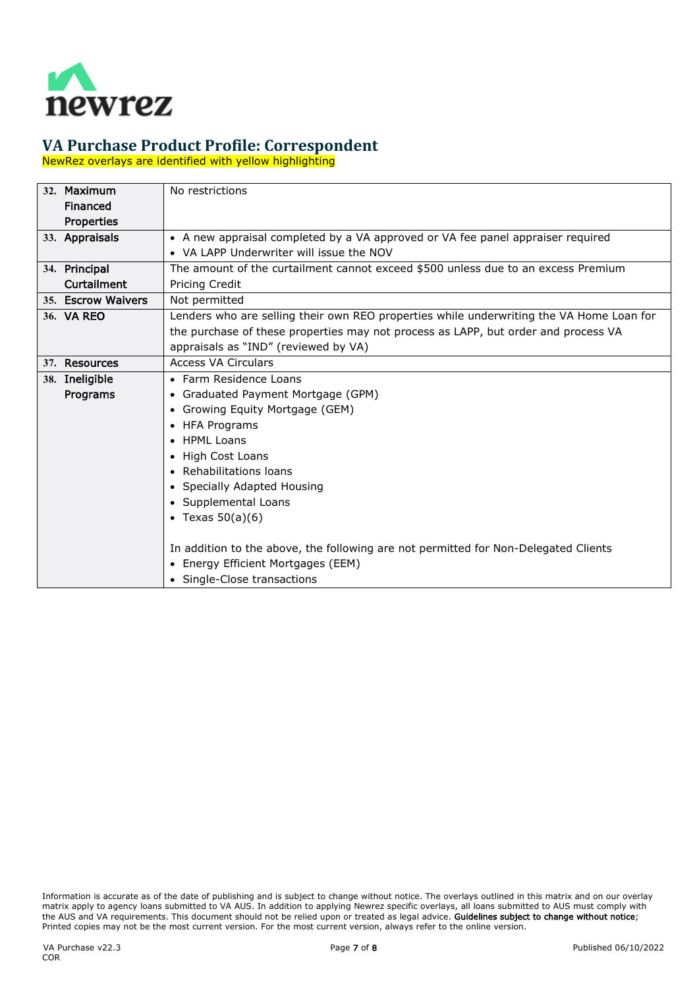

NewRez overlays are identified with yellow highlighting

<span id="page-6-6"></span><span id="page-6-5"></span><span id="page-6-4"></span><span id="page-6-3"></span><span id="page-6-2"></span><span id="page-6-1"></span><span id="page-6-0"></span>

|                                 | 32. Maximum                                                                         | No restrictions                                                                          |  |  |
|---------------------------------|-------------------------------------------------------------------------------------|------------------------------------------------------------------------------------------|--|--|
|                                 | Financed                                                                            |                                                                                          |  |  |
|                                 | Properties                                                                          |                                                                                          |  |  |
|                                 | 33. Appraisals                                                                      | • A new appraisal completed by a VA approved or VA fee panel appraiser required          |  |  |
|                                 |                                                                                     | • VA LAPP Underwriter will issue the NOV                                                 |  |  |
|                                 | 34. Principal                                                                       | The amount of the curtailment cannot exceed \$500 unless due to an excess Premium        |  |  |
|                                 | Curtailment                                                                         | Pricing Credit                                                                           |  |  |
|                                 | 35. Escrow Waivers                                                                  | Not permitted                                                                            |  |  |
|                                 | 36. VA REO                                                                          | Lenders who are selling their own REO properties while underwriting the VA Home Loan for |  |  |
|                                 |                                                                                     | the purchase of these properties may not process as LAPP, but order and process VA       |  |  |
|                                 |                                                                                     | appraisals as "IND" (reviewed by VA)                                                     |  |  |
|                                 | 37. Resources                                                                       | <b>Access VA Circulars</b>                                                               |  |  |
|                                 | 38. Ineligible                                                                      | • Farm Residence Loans                                                                   |  |  |
|                                 | Programs                                                                            | • Graduated Payment Mortgage (GPM)                                                       |  |  |
| • Growing Equity Mortgage (GEM) |                                                                                     |                                                                                          |  |  |
| • HFA Programs                  |                                                                                     |                                                                                          |  |  |
| • HPML Loans                    |                                                                                     |                                                                                          |  |  |
| • High Cost Loans               |                                                                                     |                                                                                          |  |  |
|                                 |                                                                                     | • Rehabilitations loans                                                                  |  |  |
|                                 |                                                                                     | • Specially Adapted Housing                                                              |  |  |
|                                 |                                                                                     | • Supplemental Loans                                                                     |  |  |
| • Texas $50(a)(6)$              |                                                                                     |                                                                                          |  |  |
|                                 |                                                                                     |                                                                                          |  |  |
|                                 | In addition to the above, the following are not permitted for Non-Delegated Clients |                                                                                          |  |  |
|                                 | • Energy Efficient Mortgages (EEM)                                                  |                                                                                          |  |  |
|                                 |                                                                                     | • Single-Close transactions                                                              |  |  |